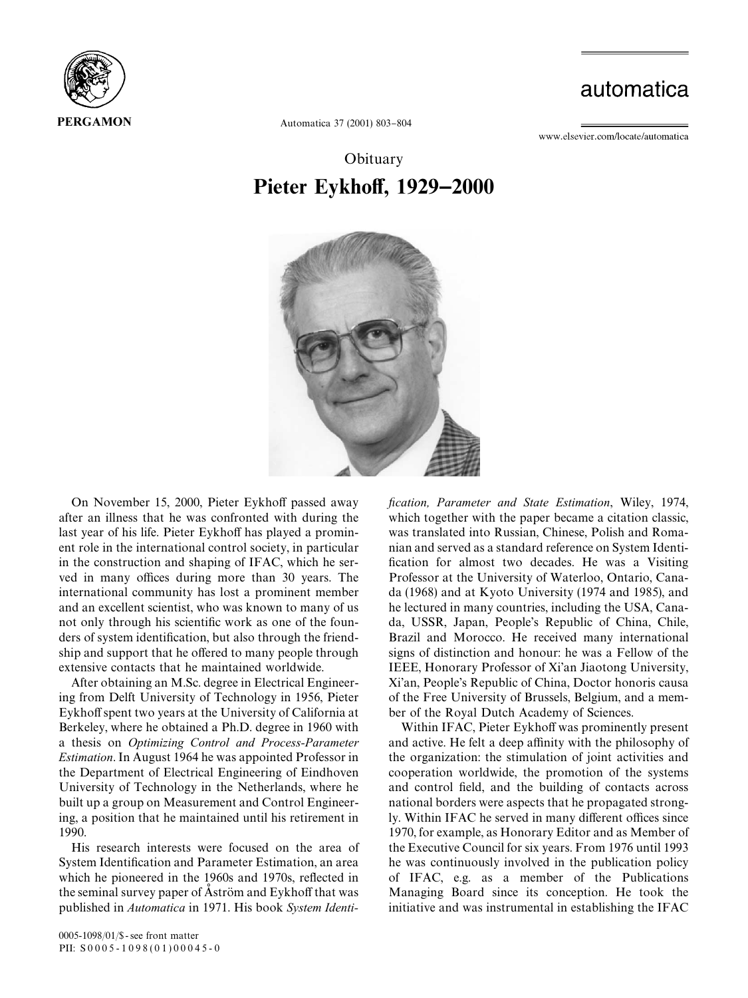

## automatica

www.elsevier.com/locate/automatica

Automatica 37 (2001) 803-804

## **Obituary** Pieter Eykhoff, 1929–2000



On November 15, 2000, Pieter Eykhoff passed away after an illness that he was confronted with during the last year of his life. Pieter Eykhoff has played a prominent role in the international control society, in particular in the construction and shaping of IFAC, which he served in many offices during more than 30 years. The international community has lost a prominent member and an excellent scientist, who was known to many of us not only through his scientific work as one of the founders of system identification, but also through the friendship and support that he offered to many people through extensive contacts that he maintained worldwide.

After obtaining an M.Sc. degree in Electrical Engineering from Delft University of Technology in 1956, Pieter Eykhoff spent two years at the University of California at Berkeley, where he obtained a Ph.D. degree in 1960 with a thesis on *Optimizing Control and Process-Parameter Estimation*. In August 1964 he was appointed Professor in the Department of Electrical Engineering of Eindhoven University of Technology in the Netherlands, where he built up a group on Measurement and Control Engineering, a position that he maintained until his retirement in 1990.

His research interests were focused on the area of System Identification and Parameter Estimation, an area which he pioneered in the 1960s and 1970s, reflected in the seminal survey paper of Aström and Eykhoff that was published in *Automatica* in 1971. His book *System Identi-* x*cation, Parameter and State Estimation*, Wiley, 1974, which together with the paper became a citation classic, was translated into Russian, Chinese, Polish and Romanian and served as a standard reference on System Identi fication for almost two decades. He was a Visiting Professor at the University of Waterloo, Ontario, Canada (1968) and at Kyoto University (1974 and 1985), and he lectured in many countries, including the USA, Canada, USSR, Japan, People's Republic of China, Chile, Brazil and Morocco. He received many international signs of distinction and honour: he was a Fellow of the IEEE, Honorary Professor of Xi'an Jiaotong University, Xi'an, People's Republic of China, Doctor honoris causa of the Free University of Brussels, Belgium, and a member of the Royal Dutch Academy of Sciences.

Within IFAC, Pieter Eykhoff was prominently present and active. He felt a deep affinity with the philosophy of the organization: the stimulation of joint activities and cooperation worldwide, the promotion of the systems and control field, and the building of contacts across national borders were aspects that he propagated strongly. Within IFAC he served in many different offices since 1970, for example, as Honorary Editor and as Member of the Executive Council for six years. From 1976 until 1993 he was continuously involved in the publication policy of IFAC, e.g. as a member of the Publications Managing Board since its conception. He took the initiative and was instrumental in establishing the IFAC